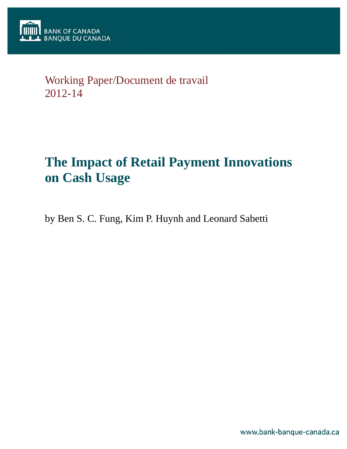

# Working Paper/Document de travail 2012-14

# **The Impact of Retail Payment Innovations on Cash Usage**

by Ben S. C. Fung, Kim P. Huynh and Leonard Sabetti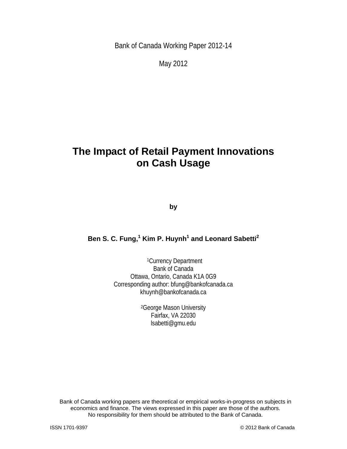Bank of Canada Working Paper 2012-14

May 2012

## **The Impact of Retail Payment Innovations on Cash Usage**

**by** 

#### **Ben S. C. Fung,<sup>1</sup> Kim P. Huynh1 and Leonard Sabetti2**

1Currency Department Bank of Canada Ottawa, Ontario, Canada K1A 0G9 Corresponding author: bfung@bankofcanada.ca khuynh@bankofcanada.ca

> 2George Mason University Fairfax, VA 22030 lsabetti@gmu.edu

Bank of Canada working papers are theoretical or empirical works-in-progress on subjects in economics and finance. The views expressed in this paper are those of the authors. No responsibility for them should be attributed to the Bank of Canada.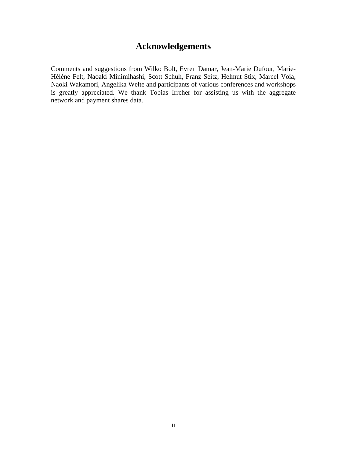### **Acknowledgements**

Comments and suggestions from Wilko Bolt, Evren Damar, Jean-Marie Dufour, Marie-Hélène Felt, Naoaki Minimihashi, Scott Schuh, Franz Seitz, Helmut Stix, Marcel Voia, Naoki Wakamori, Angelika Welte and participants of various conferences and workshops is greatly appreciated. We thank Tobias Irrcher for assisting us with the aggregate network and payment shares data.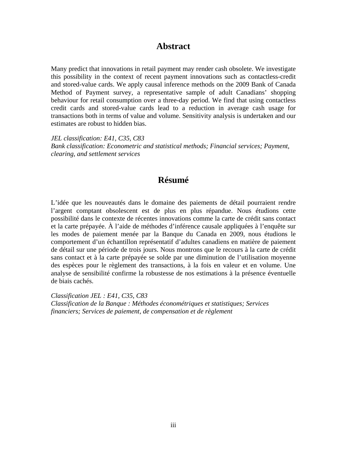#### **Abstract**

Many predict that innovations in retail payment may render cash obsolete. We investigate this possibility in the context of recent payment innovations such as contactless-credit and stored-value cards. We apply causal inference methods on the 2009 Bank of Canada Method of Payment survey, a representative sample of adult Canadians' shopping behaviour for retail consumption over a three-day period. We find that using contactless credit cards and stored-value cards lead to a reduction in average cash usage for transactions both in terms of value and volume. Sensitivity analysis is undertaken and our estimates are robust to hidden bias.

*JEL classification: E41, C35, C83 Bank classification: Econometric and statistical methods; Financial services; Payment, clearing, and settlement services* 

### **Résumé**

L'idée que les nouveautés dans le domaine des paiements de détail pourraient rendre l'argent comptant obsolescent est de plus en plus répandue. Nous étudions cette possibilité dans le contexte de récentes innovations comme la carte de crédit sans contact et la carte prépayée. À l'aide de méthodes d'inférence causale appliquées à l'enquête sur les modes de paiement menée par la Banque du Canada en 2009, nous étudions le comportement d'un échantillon représentatif d'adultes canadiens en matière de paiement de détail sur une période de trois jours. Nous montrons que le recours à la carte de crédit sans contact et à la carte prépayée se solde par une diminution de l'utilisation moyenne des espèces pour le règlement des transactions, à la fois en valeur et en volume. Une analyse de sensibilité confirme la robustesse de nos estimations à la présence éventuelle de biais cachés.

*Classification JEL : E41, C35, C83 Classification de la Banque : Méthodes économétriques et statistiques; Services financiers; Services de paiement, de compensation et de règlement*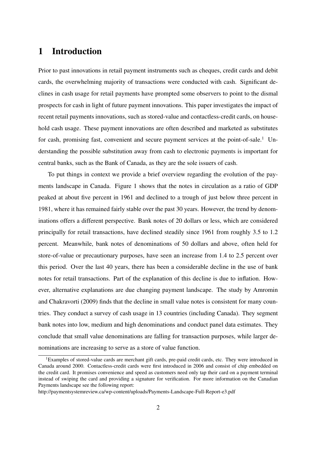### 1 Introduction

Prior to past innovations in retail payment instruments such as cheques, credit cards and debit cards, the overwhelming majority of transactions were conducted with cash. Significant declines in cash usage for retail payments have prompted some observers to point to the dismal prospects for cash in light of future payment innovations. This paper investigates the impact of recent retail payments innovations, such as stored-value and contactless-credit cards, on household cash usage. These payment innovations are often described and marketed as substitutes for cash, promising fast, convenient and secure payment services at the point-of-sale.<sup>1</sup> Understanding the possible substitution away from cash to electronic payments is important for central banks, such as the Bank of Canada, as they are the sole issuers of cash.

To put things in context we provide a brief overview regarding the evolution of the payments landscape in Canada. Figure 1 shows that the notes in circulation as a ratio of GDP peaked at about five percent in 1961 and declined to a trough of just below three percent in 1981, where it has remained fairly stable over the past 30 years. However, the trend by denominations offers a different perspective. Bank notes of 20 dollars or less, which are considered principally for retail transactions, have declined steadily since 1961 from roughly 3.5 to 1.2 percent. Meanwhile, bank notes of denominations of 50 dollars and above, often held for store-of-value or precautionary purposes, have seen an increase from 1.4 to 2.5 percent over this period. Over the last 40 years, there has been a considerable decline in the use of bank notes for retail transactions. Part of the explanation of this decline is due to inflation. However, alternative explanations are due changing payment landscape. The study by Amromin and Chakravorti (2009) finds that the decline in small value notes is consistent for many countries. They conduct a survey of cash usage in 13 countries (including Canada). They segment bank notes into low, medium and high denominations and conduct panel data estimates. They conclude that small value denominations are falling for transaction purposes, while larger denominations are increasing to serve as a store of value function.

<sup>&</sup>lt;sup>1</sup>Examples of stored-value cards are merchant gift cards, pre-paid credit cards, etc. They were introduced in Canada around 2000. Contactless-credit cards were first introduced in 2006 and consist of chip embedded on the credit card. It promises convenience and speed as customers need only tap their card on a payment terminal instead of swiping the card and providing a signature for verification. For more information on the Canadian Payments landscape see the following report:

http://paymentsystemreview.ca/wp-content/uploads/Payments-Landscape-Full-Report-e3.pdf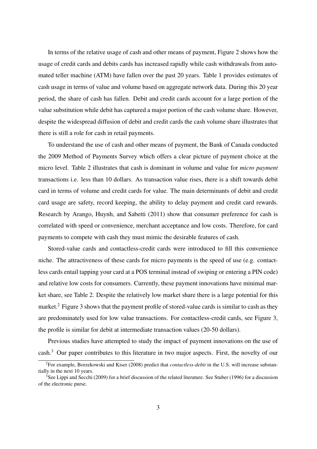In terms of the relative usage of cash and other means of payment, Figure 2 shows how the usage of credit cards and debits cards has increased rapidly while cash withdrawals from automated teller machine (ATM) have fallen over the past 20 years. Table 1 provides estimates of cash usage in terms of value and volume based on aggregate network data. During this 20 year period, the share of cash has fallen. Debit and credit cards account for a large portion of the value substitution while debit has captured a major portion of the cash volume share. However, despite the widespread diffusion of debit and credit cards the cash volume share illustrates that there is still a role for cash in retail payments.

To understand the use of cash and other means of payment, the Bank of Canada conducted the 2009 Method of Payments Survey which offers a clear picture of payment choice at the micro level. Table 2 illustrates that cash is dominant in volume and value for *micro payment* transactions i.e. less than 10 dollars. As transaction value rises, there is a shift towards debit card in terms of volume and credit cards for value. The main determinants of debit and credit card usage are safety, record keeping, the ability to delay payment and credit card rewards. Research by Arango, Huynh, and Sabetti (2011) show that consumer preference for cash is correlated with speed or convenience, merchant acceptance and low costs. Therefore, for card payments to compete with cash they must mimic the desirable features of cash.

Stored-value cards and contactless-credit cards were introduced to fill this convenience niche. The attractiveness of these cards for micro payments is the speed of use (e.g. contactless cards entail tapping your card at a POS terminal instead of swiping or entering a PIN code) and relative low costs for consumers. Currently, these payment innovations have minimal market share, see Table 2. Despite the relatively low market share there is a large potential for this market.<sup>2</sup> Figure 3 shows that the payment profile of stored-value cards is similar to cash as they are predominately used for low value transactions. For contactless-credit cards, see Figure 3, the profile is similar for debit at intermediate transaction values (20-50 dollars).

Previous studies have attempted to study the impact of payment innovations on the use of cash.<sup>3</sup> Our paper contributes to this literature in two major aspects. First, the novelty of our

<sup>2</sup>For example, Borzekowski and Kiser (2008) predict that *contactless-debit* in the U.S. will increase substantially in the next 10 years.

<sup>&</sup>lt;sup>3</sup>See Lippi and Secchi (2009) for a brief discussion of the related literature. See Stuber (1996) for a discussion of the electronic purse.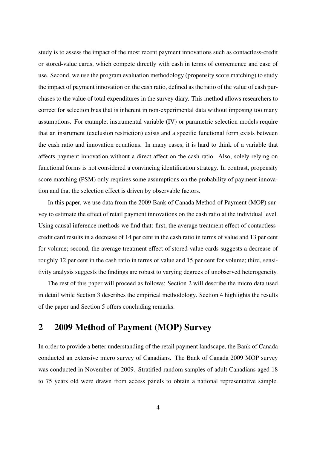study is to assess the impact of the most recent payment innovations such as contactless-credit or stored-value cards, which compete directly with cash in terms of convenience and ease of use. Second, we use the program evaluation methodology (propensity score matching) to study the impact of payment innovation on the cash ratio, defined as the ratio of the value of cash purchases to the value of total expenditures in the survey diary. This method allows researchers to correct for selection bias that is inherent in non-experimental data without imposing too many assumptions. For example, instrumental variable (IV) or parametric selection models require that an instrument (exclusion restriction) exists and a specific functional form exists between the cash ratio and innovation equations. In many cases, it is hard to think of a variable that affects payment innovation without a direct affect on the cash ratio. Also, solely relying on functional forms is not considered a convincing identification strategy. In contrast, propensity score matching (PSM) only requires some assumptions on the probability of payment innovation and that the selection effect is driven by observable factors.

In this paper, we use data from the 2009 Bank of Canada Method of Payment (MOP) survey to estimate the effect of retail payment innovations on the cash ratio at the individual level. Using causal inference methods we find that: first, the average treatment effect of contactlesscredit card results in a decrease of 14 per cent in the cash ratio in terms of value and 13 per cent for volume; second, the average treatment effect of stored-value cards suggests a decrease of roughly 12 per cent in the cash ratio in terms of value and 15 per cent for volume; third, sensitivity analysis suggests the findings are robust to varying degrees of unobserved heterogeneity.

The rest of this paper will proceed as follows: Section 2 will describe the micro data used in detail while Section 3 describes the empirical methodology. Section 4 highlights the results of the paper and Section 5 offers concluding remarks.

### 2 2009 Method of Payment (MOP) Survey

In order to provide a better understanding of the retail payment landscape, the Bank of Canada conducted an extensive micro survey of Canadians. The Bank of Canada 2009 MOP survey was conducted in November of 2009. Stratified random samples of adult Canadians aged 18 to 75 years old were drawn from access panels to obtain a national representative sample.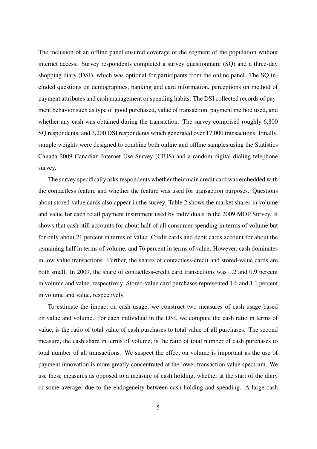The inclusion of an offline panel ensured coverage of the segment of the population without internet access. Survey respondents completed a survey questionnaire (SQ) and a three-day shopping diary (DSI), which was optional for participants from the online panel. The SQ included questions on demographics, banking and card information, perceptions on method of payment attributes and cash management or spending habits. The DSI collected records of payment behavior such as type of good purchased, value of transaction, payment method used, and whether any cash was obtained during the transaction. The survey comprised roughly 6,800 SQ respondents, and 3,200 DSI respondents which generated over 17,000 transactions. Finally, sample weights were designed to combine both online and offline samples using the Statistics Canada 2009 Canadian Internet Use Survey (CIUS) and a random digital dialing telephone survey.

The survey specifically asks respondents whether their main credit card was embedded with the contactless feature and whether the feature was used for transaction purposes. Questions about stored-value cards also appear in the survey. Table 2 shows the market shares in volume and value for each retail payment instrument used by individuals in the 2009 MOP Survey. It shows that cash still accounts for about half of all consumer spending in terms of volume but for only about 21 percent in terms of value. Credit cards and debit cards account for about the remaining half in terms of volume, and 76 percent in terms of value. However, cash dominates in low value transactions. Further, the shares of contactless-credit and stored-value cards are both small. In 2009, the share of contactless-credit card transactions was 1.2 and 0.9 percent in volume and value, respectively. Stored-value card purchases represented 1.6 and 1.1 percent in volume and value, respectively.

To estimate the impact on cash usage, we construct two measures of cash usage based on value and volume. For each individual in the DSI, we compute the cash ratio in terms of value, is the ratio of total value of cash purchases to total value of all purchases. The second measure, the cash share in terms of volume, is the ratio of total number of cash purchases to total number of all transactions. We suspect the effect on volume is important as the use of payment innovation is more greatly concentrated at the lower transaction value spectrum. We use these measures as opposed to a measure of cash holding, whether at the start of the diary or some average, due to the endogeneity between cash holding and spending. A large cash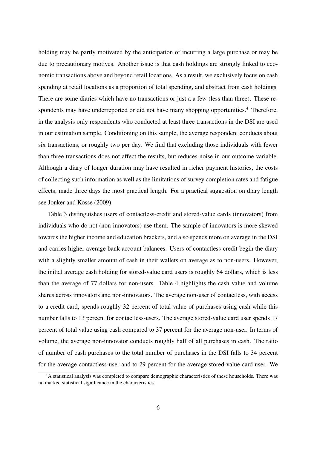holding may be partly motivated by the anticipation of incurring a large purchase or may be due to precautionary motives. Another issue is that cash holdings are strongly linked to economic transactions above and beyond retail locations. As a result, we exclusively focus on cash spending at retail locations as a proportion of total spending, and abstract from cash holdings. There are some diaries which have no transactions or just a a few (less than three). These respondents may have underreported or did not have many shopping opportunities.<sup>4</sup> Therefore, in the analysis only respondents who conducted at least three transactions in the DSI are used in our estimation sample. Conditioning on this sample, the average respondent conducts about six transactions, or roughly two per day. We find that excluding those individuals with fewer than three transactions does not affect the results, but reduces noise in our outcome variable. Although a diary of longer duration may have resulted in richer payment histories, the costs of collecting such information as well as the limitations of survey completion rates and fatigue effects, made three days the most practical length. For a practical suggestion on diary length see Jonker and Kosse (2009).

Table 3 distinguishes users of contactless-credit and stored-value cards (innovators) from individuals who do not (non-innovators) use them. The sample of innovators is more skewed towards the higher income and education brackets, and also spends more on average in the DSI and carries higher average bank account balances. Users of contactless-credit begin the diary with a slightly smaller amount of cash in their wallets on average as to non-users. However, the initial average cash holding for stored-value card users is roughly 64 dollars, which is less than the average of 77 dollars for non-users. Table 4 highlights the cash value and volume shares across innovators and non-innovators. The average non-user of contactless, with access to a credit card, spends roughly 32 percent of total value of purchases using cash while this number falls to 13 percent for contactless-users. The average stored-value card user spends 17 percent of total value using cash compared to 37 percent for the average non-user. In terms of volume, the average non-innovator conducts roughly half of all purchases in cash. The ratio of number of cash purchases to the total number of purchases in the DSI falls to 34 percent for the average contactless-user and to 29 percent for the average stored-value card user. We

<sup>&</sup>lt;sup>4</sup>A statistical analysis was completed to compare demographic characteristics of these households. There was no marked statistical significance in the characteristics.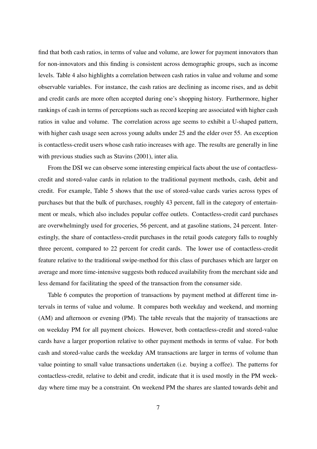find that both cash ratios, in terms of value and volume, are lower for payment innovators than for non-innovators and this finding is consistent across demographic groups, such as income levels. Table 4 also highlights a correlation between cash ratios in value and volume and some observable variables. For instance, the cash ratios are declining as income rises, and as debit and credit cards are more often accepted during one's shopping history. Furthermore, higher rankings of cash in terms of perceptions such as record keeping are associated with higher cash ratios in value and volume. The correlation across age seems to exhibit a U-shaped pattern, with higher cash usage seen across young adults under 25 and the elder over 55. An exception is contactless-credit users whose cash ratio increases with age. The results are generally in line with previous studies such as Stavins (2001), inter alia.

From the DSI we can observe some interesting empirical facts about the use of contactlesscredit and stored-value cards in relation to the traditional payment methods, cash, debit and credit. For example, Table 5 shows that the use of stored-value cards varies across types of purchases but that the bulk of purchases, roughly 43 percent, fall in the category of entertainment or meals, which also includes popular coffee outlets. Contactless-credit card purchases are overwhelmingly used for groceries, 56 percent, and at gasoline stations, 24 percent. Interestingly, the share of contactless-credit purchases in the retail goods category falls to roughly three percent, compared to 22 percent for credit cards. The lower use of contactless-credit feature relative to the traditional swipe-method for this class of purchases which are larger on average and more time-intensive suggests both reduced availability from the merchant side and less demand for facilitating the speed of the transaction from the consumer side.

Table 6 computes the proportion of transactions by payment method at different time intervals in terms of value and volume. It compares both weekday and weekend, and morning (AM) and afternoon or evening (PM). The table reveals that the majority of transactions are on weekday PM for all payment choices. However, both contactless-credit and stored-value cards have a larger proportion relative to other payment methods in terms of value. For both cash and stored-value cards the weekday AM transactions are larger in terms of volume than value pointing to small value transactions undertaken (i.e. buying a coffee). The patterns for contactless-credit, relative to debit and credit, indicate that it is used mostly in the PM weekday where time may be a constraint. On weekend PM the shares are slanted towards debit and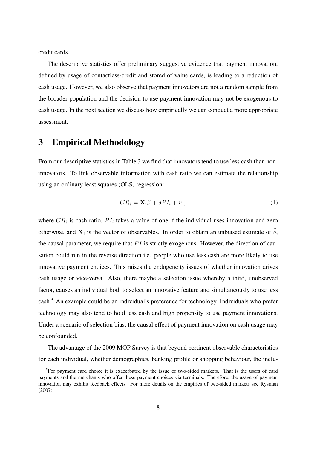credit cards.

The descriptive statistics offer preliminary suggestive evidence that payment innovation, defined by usage of contactless-credit and stored of value cards, is leading to a reduction of cash usage. However, we also observe that payment innovators are not a random sample from the broader population and the decision to use payment innovation may not be exogenous to cash usage. In the next section we discuss how empirically we can conduct a more appropriate assessment.

### 3 Empirical Methodology

From our descriptive statistics in Table 3 we find that innovators tend to use less cash than noninnovators. To link observable information with cash ratio we can estimate the relationship using an ordinary least squares (OLS) regression:

$$
CR_i = \mathbf{X_i} \beta + \delta PI_i + u_i,\tag{1}
$$

where  $CR_i$  is cash ratio,  $PI_i$  takes a value of one if the individual uses innovation and zero otherwise, and  $X_i$  is the vector of observables. In order to obtain an unbiased estimate of  $\hat{\delta}$ , the causal parameter, we require that *P I* is strictly exogenous. However, the direction of causation could run in the reverse direction i.e. people who use less cash are more likely to use innovative payment choices. This raises the endogeneity issues of whether innovation drives cash usage or vice-versa. Also, there maybe a selection issue whereby a third, unobserved factor, causes an individual both to select an innovative feature and simultaneously to use less cash.<sup>5</sup> An example could be an individual's preference for technology. Individuals who prefer technology may also tend to hold less cash and high propensity to use payment innovations. Under a scenario of selection bias, the causal effect of payment innovation on cash usage may be confounded.

The advantage of the 2009 MOP Survey is that beyond pertinent observable characteristics for each individual, whether demographics, banking profile or shopping behaviour, the inclu-

<sup>&</sup>lt;sup>5</sup>For payment card choice it is exacerbated by the issue of two-sided markets. That is the users of card payments and the merchants who offer these payment choices via terminals. Therefore, the usage of payment innovation may exhibit feedback effects. For more details on the empirics of two-sided markets see Rysman (2007).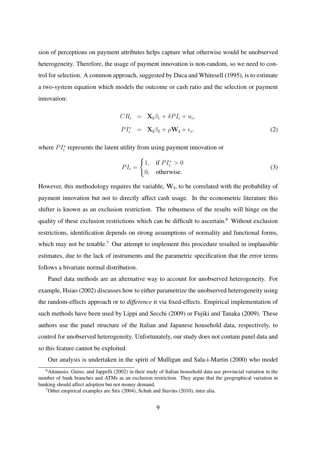sion of perceptions on payment attributes helps capture what otherwise would be unobserved heterogeneity. Therefore, the usage of payment innovation is non-random, so we need to control for selection. A common approach, suggested by Duca and Whitesell (1995), is to estimate a two-system equation which models the outcome or cash ratio and the selection or payment innovation:

$$
CR_i = \mathbf{X}_i \beta_1 + \delta PI_i + u_i,
$$
  
\n
$$
PI_i^* = \mathbf{X}_i \beta_2 + \rho \mathbf{W}_i + \epsilon_i,
$$
\n(2)

where  $PI_i^*$  represents the latent utility from using payment innovation or

$$
PI_i = \begin{cases} 1, & \text{if } PI_i^* > 0 \\ 0, & \text{otherwise.} \end{cases}
$$
 (3)

However, this methodology requires the variable, **W<sup>i</sup>** , to be correlated with the probability of payment innovation but not to directly affect cash usage. In the econometric literature this shifter is known as an exclusion restriction. The robustness of the results will hinge on the quality of these exclusion restrictions which can be difficult to ascertain.<sup>6</sup> Without exclusion restrictions, identification depends on strong assumptions of normality and functional forms, which may not be tenable.<sup>7</sup> Our attempt to implement this procedure resulted in implausible estimates, due to the lack of instruments and the parametric specification that the error terms follows a bivariate normal distribution.

Panel data methods are an alternative way to account for unobserved heterogeneity. For example, Hsiao (2002) discusses how to either parametrize the unobserved heterogeneity using the random-effects approach or to *difference* it via fixed-effects. Empirical implementation of such methods have been used by Lippi and Secchi (2009) or Fujiki and Tanaka (2009). These authors use the panel structure of the Italian and Japanese household data, respectively, to control for unobserved heterogeneity. Unfortunately, our study does not contain panel data and so this feature cannot be exploited.

Our analysis is undertaken in the spirit of Mulligan and Sala-i-Martin (2000) who model

 $6$ Attanasio, Guiso, and Jappelli (2002) in their study of Italian household data use provincial variation in the number of bank branches and ATMs as an exclusion restriction. They argue that the geographical variation in banking should affect adoption but not money demand.

<sup>&</sup>lt;sup>7</sup>Other empirical examples are Stix (2004), Schuh and Stavins (2010), inter alia.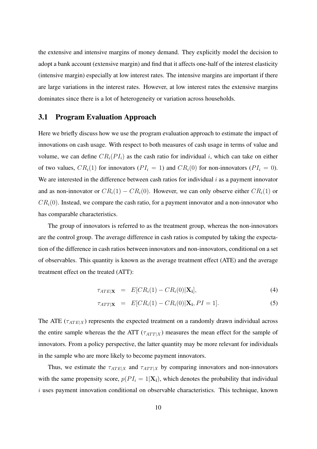the extensive and intensive margins of money demand. They explicitly model the decision to adopt a bank account (extensive margin) and find that it affects one-half of the interest elasticity (intensive margin) especially at low interest rates. The intensive margins are important if there are large variations in the interest rates. However, at low interest rates the extensive margins dominates since there is a lot of heterogeneity or variation across households.

#### 3.1 Program Evaluation Approach

Here we briefly discuss how we use the program evaluation approach to estimate the impact of innovations on cash usage. With respect to both measures of cash usage in terms of value and volume, we can define  $CR_i(PI_i)$  as the cash ratio for individual *i*, which can take on either of two values,  $CR_i(1)$  for innovators ( $PI_i = 1$ ) and  $CR_i(0)$  for non-innovators ( $PI_i = 0$ ). We are interested in the difference between cash ratios for individual *i* as a payment innovator and as non-innovator or  $CR_i(1) - CR_i(0)$ . However, we can only observe either  $CR_i(1)$  or  $CR<sub>i</sub>(0)$ . Instead, we compare the cash ratio, for a payment innovator and a non-innovator who has comparable characteristics.

The group of innovators is referred to as the treatment group, whereas the non-innovators are the control group. The average difference in cash ratios is computed by taking the expectation of the difference in cash ratios between innovators and non-innovators, conditional on a set of observables. This quantity is known as the average treatment effect (ATE) and the average treatment effect on the treated (ATT):

$$
\tau_{ATE|\mathbf{X}} = E[CR_i(1) - CR_i(0)|\mathbf{X_i}], \tag{4}
$$

$$
\tau_{ATT|\mathbf{X}} = E[CR_i(1) - CR_i(0)|\mathbf{X_i}, PI = 1]. \tag{5}
$$

The ATE ( $\tau_{ATE|X}$ ) represents the expected treatment on a randomly drawn individual across the entire sample whereas the the ATT ( $\tau_{ATT|X}$ ) measures the mean effect for the sample of innovators. From a policy perspective, the latter quantity may be more relevant for individuals in the sample who are more likely to become payment innovators.

Thus, we estimate the  $\tau_{ATE|X}$  and  $\tau_{ATT|X}$  by comparing innovators and non-innovators with the same propensity score,  $p(PI_i = 1|\mathbf{X_i})$ , which denotes the probability that individual *i* uses payment innovation conditional on observable characteristics. This technique, known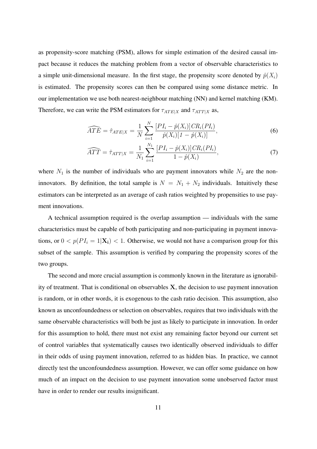as propensity-score matching (PSM), allows for simple estimation of the desired causal impact because it reduces the matching problem from a vector of observable characteristics to a simple unit-dimensional measure. In the first stage, the propensity score denoted by  $\hat{p}(X_i)$ is estimated. The propensity scores can then be compared using some distance metric. In our implementation we use both nearest-neighbour matching (NN) and kernel matching (KM). Therefore, we can write the PSM estimators for  $\tau_{ATE|X}$  and  $\tau_{ATT|X}$  as,

$$
\widehat{ATE} = \hat{\tau}_{ATE|X} = \frac{1}{N} \sum_{i=1}^{N} \frac{[PI_i - \hat{p}(X_i)]CR_i(PI_i)}{\hat{p}(X_i)[1 - \hat{p}(X_i)]},\tag{6}
$$

$$
\widehat{ATT} = \hat{\tau}_{ATT|X} = \frac{1}{N_1} \sum_{i=1}^{N_1} \frac{[PI_i - \hat{p}(X_i)]CR_i(PI_i)}{1 - \hat{p}(X_i)},\tag{7}
$$

where  $N_1$  is the number of individuals who are payment innovators while  $N_2$  are the noninnovators. By definition, the total sample is  $N = N_1 + N_2$  individuals. Intuitively these estimators can be interpreted as an average of cash ratios weighted by propensities to use payment innovations.

A technical assumption required is the overlap assumption — individuals with the same characteristics must be capable of both participating and non-participating in payment innovations, or  $0 < p(PI_i = 1|\mathbf{X_i}) < 1$ . Otherwise, we would not have a comparison group for this subset of the sample. This assumption is verified by comparing the propensity scores of the two groups.

The second and more crucial assumption is commonly known in the literature as ignorability of treatment. That is conditional on observables **X**, the decision to use payment innovation is random, or in other words, it is exogenous to the cash ratio decision. This assumption, also known as unconfoundedness or selection on observables, requires that two individuals with the same observable characteristics will both be just as likely to participate in innovation. In order for this assumption to hold, there must not exist any remaining factor beyond our current set of control variables that systematically causes two identically observed individuals to differ in their odds of using payment innovation, referred to as hidden bias. In practice, we cannot directly test the unconfoundedness assumption. However, we can offer some guidance on how much of an impact on the decision to use payment innovation some unobserved factor must have in order to render our results insignificant.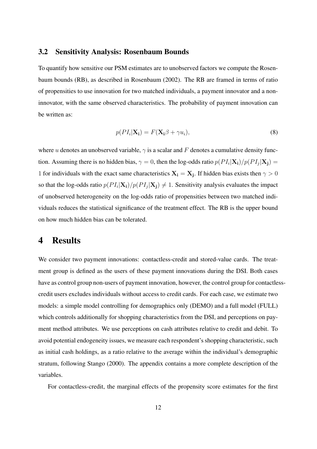#### 3.2 Sensitivity Analysis: Rosenbaum Bounds

To quantify how sensitive our PSM estimates are to unobserved factors we compute the Rosenbaum bounds (RB), as described in Rosenbaum (2002). The RB are framed in terms of ratio of propensities to use innovation for two matched individuals, a payment innovator and a noninnovator, with the same observed characteristics. The probability of payment innovation can be written as:

$$
p(PI_i|\mathbf{X_i}) = F(\mathbf{X_i}\beta + \gamma u_i),
$$
\n(8)

where *u* denotes an unobserved variable,  $\gamma$  is a scalar and *F* denotes a cumulative density function. Assuming there is no hidden bias,  $\gamma = 0$ , then the log-odds ratio  $p(PI_i|\mathbf{X_i})/p(PI_j|\mathbf{X_j}) =$ 1 for individuals with the exact same characteristics  $X_i = X_j$ . If hidden bias exists then  $\gamma > 0$ so that the log-odds ratio  $p(PI_i|\mathbf{X_i})/p(PI_j|\mathbf{X_j}) \neq 1$ . Sensitivity analysis evaluates the impact of unobserved heterogeneity on the log-odds ratio of propensities between two matched individuals reduces the statistical significance of the treatment effect. The RB is the upper bound on how much hidden bias can be tolerated.

### 4 Results

We consider two payment innovations: contactless-credit and stored-value cards. The treatment group is defined as the users of these payment innovations during the DSI. Both cases have as control group non-users of payment innovation, however, the control group for contactlesscredit users excludes individuals without access to credit cards. For each case, we estimate two models: a simple model controlling for demographics only (DEMO) and a full model (FULL) which controls additionally for shopping characteristics from the DSI, and perceptions on payment method attributes. We use perceptions on cash attributes relative to credit and debit. To avoid potential endogeneity issues, we measure each respondent's shopping characteristic, such as initial cash holdings, as a ratio relative to the average within the individual's demographic stratum, following Stango (2000). The appendix contains a more complete description of the variables.

For contactless-credit, the marginal effects of the propensity score estimates for the first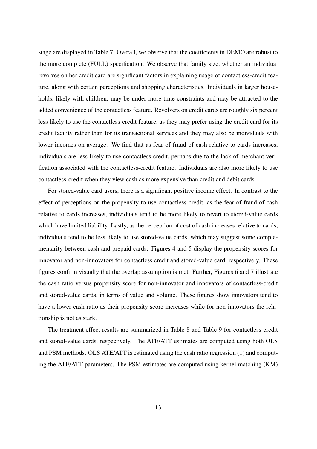stage are displayed in Table 7. Overall, we observe that the coefficients in DEMO are robust to the more complete (FULL) specification. We observe that family size, whether an individual revolves on her credit card are significant factors in explaining usage of contactless-credit feature, along with certain perceptions and shopping characteristics. Individuals in larger households, likely with children, may be under more time constraints and may be attracted to the added convenience of the contactless feature. Revolvers on credit cards are roughly six percent less likely to use the contactless-credit feature, as they may prefer using the credit card for its credit facility rather than for its transactional services and they may also be individuals with lower incomes on average. We find that as fear of fraud of cash relative to cards increases, individuals are less likely to use contactless-credit, perhaps due to the lack of merchant verification associated with the contactless-credit feature. Individuals are also more likely to use contactless-credit when they view cash as more expensive than credit and debit cards.

For stored-value card users, there is a significant positive income effect. In contrast to the effect of perceptions on the propensity to use contactless-credit, as the fear of fraud of cash relative to cards increases, individuals tend to be more likely to revert to stored-value cards which have limited liability. Lastly, as the perception of cost of cash increases relative to cards, individuals tend to be less likely to use stored-value cards, which may suggest some complementarity between cash and prepaid cards. Figures 4 and 5 display the propensity scores for innovator and non-innovators for contactless credit and stored-value card, respectively. These figures confirm visually that the overlap assumption is met. Further, Figures 6 and 7 illustrate the cash ratio versus propensity score for non-innovator and innovators of contactless-credit and stored-value cards, in terms of value and volume. These figures show innovators tend to have a lower cash ratio as their propensity score increases while for non-innovators the relationship is not as stark.

The treatment effect results are summarized in Table 8 and Table 9 for contactless-credit and stored-value cards, respectively. The ATE/ATT estimates are computed using both OLS and PSM methods. OLS ATE/ATT is estimated using the cash ratio regression (1) and computing the ATE/ATT parameters. The PSM estimates are computed using kernel matching (KM)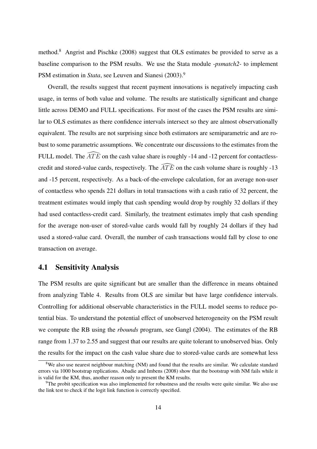method.<sup>8</sup> Angrist and Pischke (2008) suggest that OLS estimates be provided to serve as a baseline comparison to the PSM results. We use the Stata module *-psmatch2-* to implement PSM estimation in *Stata*, see Leuven and Sianesi (2003).<sup>9</sup>

Overall, the results suggest that recent payment innovations is negatively impacting cash usage, in terms of both value and volume. The results are statistically significant and change little across DEMO and FULL specifications. For most of the cases the PSM results are similar to OLS estimates as there confidence intervals intersect so they are almost observationally equivalent. The results are not surprising since both estimators are semiparametric and are robust to some parametric assumptions. We concentrate our discussions to the estimates from the FULL model. The  $\widehat{ATE}$  on the cash value share is roughly -14 and -12 percent for contactlesscredit and stored-value cards, respectively. The  $\widehat{ATE}$  on the cash volume share is roughly -13 and -15 percent, respectively. As a back-of-the-envelope calculation, for an average non-user of contactless who spends 221 dollars in total transactions with a cash ratio of 32 percent, the treatment estimates would imply that cash spending would drop by roughly 32 dollars if they had used contactless-credit card. Similarly, the treatment estimates imply that cash spending for the average non-user of stored-value cards would fall by roughly 24 dollars if they had used a stored-value card. Overall, the number of cash transactions would fall by close to one transaction on average.

#### 4.1 Sensitivity Analysis

The PSM results are quite significant but are smaller than the difference in means obtained from analyzing Table 4. Results from OLS are similar but have large confidence intervals. Controlling for additional observable characteristics in the FULL model seems to reduce potential bias. To understand the potential effect of unobserved heterogeneity on the PSM result we compute the RB using the *rbounds* program, see Gangl (2004). The estimates of the RB range from 1.37 to 2.55 and suggest that our results are quite tolerant to unobserved bias. Only the results for the impact on the cash value share due to stored-value cards are somewhat less

<sup>&</sup>lt;sup>8</sup>We also use nearest neighbour matching (NM) and found that the results are similar. We calculate standard errors via 1000 bootstrap replications. Abadie and Imbens (2008) show that the bootstrap with NM fails while it is valid for the KM, thus, another reason only to present the KM results.

<sup>&</sup>lt;sup>9</sup>The probit specification was also implemented for robustness and the results were quite similar. We also use the link test to check if the logit link function is correctly specified.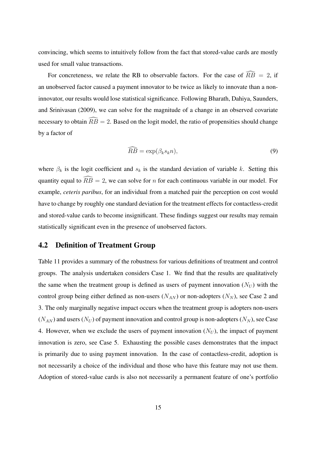convincing, which seems to intuitively follow from the fact that stored-value cards are mostly used for small value transactions.

For concreteness, we relate the RB to observable factors. For the case of  $\widehat{RB} = 2$ , if an unobserved factor caused a payment innovator to be twice as likely to innovate than a noninnovator, our results would lose statistical significance. Following Bharath, Dahiya, Saunders, and Srinivasan (2009), we can solve for the magnitude of a change in an observed covariate necessary to obtain  $\widehat{RB} = 2$ . Based on the logit model, the ratio of propensities should change by a factor of

$$
\widehat{RB} = \exp(\beta_k s_k n),\tag{9}
$$

where  $\beta_k$  is the logit coefficient and  $s_k$  is the standard deviation of variable *k*. Setting this quantity equal to  $\widehat{RB} = 2$ , we can solve for *n* for each continuous variable in our model. For example, *ceteris paribus*, for an individual from a matched pair the perception on cost would have to change by roughly one standard deviation for the treatment effects for contactless-credit and stored-value cards to become insignificant. These findings suggest our results may remain statistically significant even in the presence of unobserved factors.

#### 4.2 Definition of Treatment Group

Table 11 provides a summary of the robustness for various definitions of treatment and control groups. The analysis undertaken considers Case 1. We find that the results are qualitatively the same when the treatment group is defined as users of payment innovation  $(N_U)$  with the control group being either defined as non-users  $(N_{AN})$  or non-adopters  $(N_N)$ , see Case 2 and 3. The only marginally negative impact occurs when the treatment group is adopters non-users  $(N_{AN})$  and users  $(N_U)$  of payment innovation and control group is non-adopters  $(N_N)$ , see Case 4. However, when we exclude the users of payment innovation  $(N_U)$ , the impact of payment innovation is zero, see Case 5. Exhausting the possible cases demonstrates that the impact is primarily due to using payment innovation. In the case of contactless-credit, adoption is not necessarily a choice of the individual and those who have this feature may not use them. Adoption of stored-value cards is also not necessarily a permanent feature of one's portfolio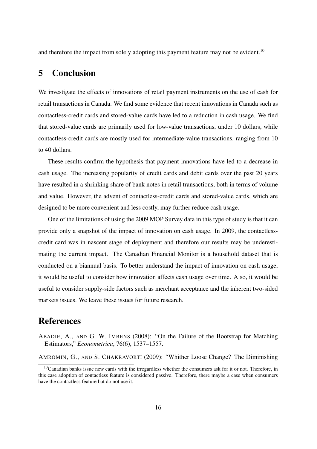and therefore the impact from solely adopting this payment feature may not be evident.<sup>10</sup>

### 5 Conclusion

We investigate the effects of innovations of retail payment instruments on the use of cash for retail transactions in Canada. We find some evidence that recent innovations in Canada such as contactless-credit cards and stored-value cards have led to a reduction in cash usage. We find that stored-value cards are primarily used for low-value transactions, under 10 dollars, while contactless-credit cards are mostly used for intermediate-value transactions, ranging from 10 to 40 dollars.

These results confirm the hypothesis that payment innovations have led to a decrease in cash usage. The increasing popularity of credit cards and debit cards over the past 20 years have resulted in a shrinking share of bank notes in retail transactions, both in terms of volume and value. However, the advent of contactless-credit cards and stored-value cards, which are designed to be more convenient and less costly, may further reduce cash usage.

One of the limitations of using the 2009 MOP Survey data in this type of study is that it can provide only a snapshot of the impact of innovation on cash usage. In 2009, the contactlesscredit card was in nascent stage of deployment and therefore our results may be underestimating the current impact. The Canadian Financial Monitor is a household dataset that is conducted on a biannual basis. To better understand the impact of innovation on cash usage, it would be useful to consider how innovation affects cash usage over time. Also, it would be useful to consider supply-side factors such as merchant acceptance and the inherent two-sided markets issues. We leave these issues for future research.

#### References

ABADIE, A., AND G. W. IMBENS (2008): "On the Failure of the Bootstrap for Matching Estimators," *Econometrica*, 76(6), 1537–1557.

AMROMIN, G., AND S. CHAKRAVORTI (2009): "Whither Loose Change? The Diminishing

<sup>&</sup>lt;sup>10</sup>Canadian banks issue new cards with the irregardless whether the consumers ask for it or not. Therefore, in this case adoption of contactless feature is considered passive. Therefore, there maybe a case when consumers have the contactless feature but do not use it.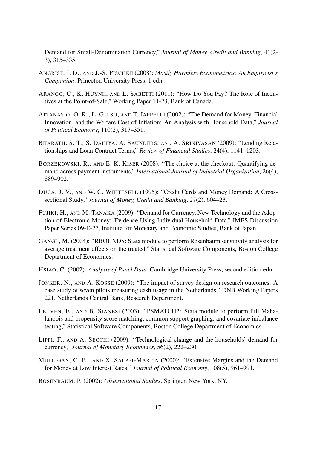Demand for Small-Denomination Currency," *Journal of Money, Credit and Banking*, 41(2- 3), 315–335.

- ANGRIST, J. D., AND J.-S. PISCHKE (2008): *Mostly Harmless Econometrics: An Empiricist's Companion*. Princeton University Press, 1 edn.
- ARANGO, C., K. HUYNH, AND L. SABETTI (2011): "How Do You Pay? The Role of Incentives at the Point-of-Sale," Working Paper 11-23, Bank of Canada.
- ATTANASIO, O. R., L. GUISO, AND T. JAPPELLI (2002): "The Demand for Money, Financial Innovation, and the Welfare Cost of Inflation: An Analysis with Household Data," *Journal of Political Economy*, 110(2), 317–351.
- BHARATH, S. T., S. DAHIYA, A. SAUNDERS, AND A. SRINIVASAN (2009): "Lending Relationships and Loan Contract Terms," *Review of Financial Studies*, 24(4), 1141–1203.
- BORZEKOWSKI, R., AND E. K. KISER (2008): "The choice at the checkout: Quantifying demand across payment instruments," *International Journal of Industrial Organization*, 26(4), 889–902.
- DUCA, J. V., AND W. C. WHITESELL (1995): "Credit Cards and Money Demand: A Crosssectional Study," *Journal of Money, Credit and Banking*, 27(2), 604–23.
- FUJIKI, H., AND M. TANAKA (2009): "Demand for Currency, New Technology and the Adoption of Electronic Money: Evidence Using Individual Household Data," IMES Discussion Paper Series 09-E-27, Institute for Monetary and Economic Studies, Bank of Japan.
- GANGL, M. (2004): "RBOUNDS: Stata module to perform Rosenbaum sensitivity analysis for average treatment effects on the treated," Statistical Software Components, Boston College Department of Economics.
- HSIAO, C. (2002): *Analysis of Panel Data.* Cambridge University Press, second edition edn.
- JONKER, N., AND A. KOSSE (2009): "The impact of survey design on research outcomes: A case study of seven pilots measuring cash usage in the Netherlands," DNB Working Papers 221, Netherlands Central Bank, Research Department.
- LEUVEN, E., AND B. SIANESI (2003): "PSMATCH2: Stata module to perform full Mahalanobis and propensity score matching, common support graphing, and covariate imbalance testing," Statistical Software Components, Boston College Department of Economics.
- LIPPI, F., AND A. SECCHI (2009): "Technological change and the households' demand for currency," *Journal of Monetary Economics*, 56(2), 222–230.
- MULLIGAN, C. B., AND X. SALA-I-MARTIN (2000): "Extensive Margins and the Demand for Money at Low Interest Rates," *Journal of Political Economy*, 108(5), 961–991.
- ROSENBAUM, P. (2002): *Observational Studies*. Springer, New York, NY.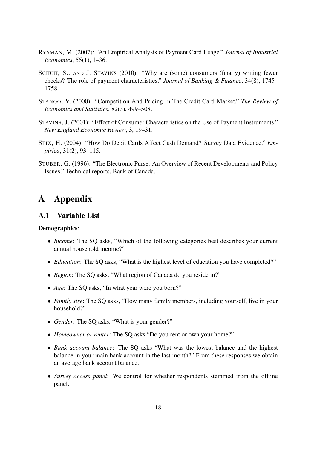- RYSMAN, M. (2007): "An Empirical Analysis of Payment Card Usage," *Journal of Industrial Economics*, 55(1), 1–36.
- SCHUH, S., AND J. STAVINS (2010): "Why are (some) consumers (finally) writing fewer checks? The role of payment characteristics," *Journal of Banking & Finance*, 34(8), 1745– 1758.
- STANGO, V. (2000): "Competition And Pricing In The Credit Card Market," *The Review of Economics and Statistics*, 82(3), 499–508.
- STAVINS, J. (2001): "Effect of Consumer Characteristics on the Use of Payment Instruments," *New England Economic Review*, 3, 19–31.
- STIX, H. (2004): "How Do Debit Cards Affect Cash Demand? Survey Data Evidence," *Empirica*, 31(2), 93–115.
- STUBER, G. (1996): "The Electronic Purse: An Overview of Recent Developments and Policy Issues," Technical reports, Bank of Canada.

### A Appendix

#### A.1 Variable List

#### Demographics:

- *Income*: The SQ asks, "Which of the following categories best describes your current annual household income?"
- *Education*: The SQ asks, "What is the highest level of education you have completed?"
- *• Region*: The SQ asks, "What region of Canada do you reside in?"
- *Age*: The SQ asks, "In what year were you born?"
- *• Family size*: The SQ asks, "How many family members, including yourself, live in your household?"
- *Gender*: The SQ asks, "What is your gender?"
- *Homeowner or renter*: The SQ asks "Do you rent or own your home?"
- *• Bank account balance*: The SQ asks "What was the lowest balance and the highest balance in your main bank account in the last month?" From these responses we obtain an average bank account balance.
- *• Survey access panel*: We control for whether respondents stemmed from the offline panel.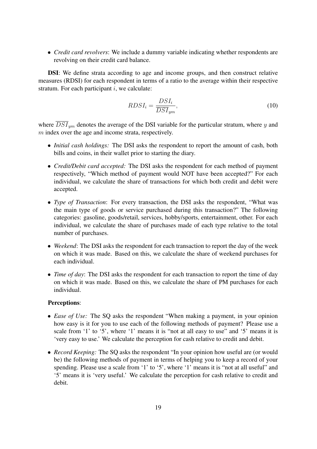*• Credit card revolvers*: We include a dummy variable indicating whether respondents are revolving on their credit card balance.

DSI: We define strata according to age and income groups, and then construct relative measures (RDSI) for each respondent in terms of a ratio to the average within their respective stratum. For each participant *i*, we calculate:

$$
RDSI_i = \frac{DSI_i}{\overline{DSI}_{ym}},\tag{10}
$$

where *DSIym* denotes the average of the DSI variable for the particular stratum, where *y* and *m* index over the age and income strata, respectively.

- *• Initial cash holdings:* The DSI asks the respondent to report the amount of cash, both bills and coins, in their wallet prior to starting the diary.
- *• Credit/Debit card accepted:* The DSI asks the respondent for each method of payment respectively, "Which method of payment would NOT have been accepted?" For each individual, we calculate the share of transactions for which both credit and debit were accepted.
- *• Type of Transaction*: For every transaction, the DSI asks the respondent, "What was the main type of goods or service purchased during this transaction?" The following categories: gasoline, goods/retail, services, hobby/sports, entertainment, other. For each individual, we calculate the share of purchases made of each type relative to the total number of purchases.
- *• Weekend*: The DSI asks the respondent for each transaction to report the day of the week on which it was made. Based on this, we calculate the share of weekend purchases for each individual.
- *Time of day*: The DSI asks the respondent for each transaction to report the time of day on which it was made. Based on this, we calculate the share of PM purchases for each individual.

#### Perceptions:

- *• Ease of Use:* The SQ asks the respondent "When making a payment, in your opinion how easy is it for you to use each of the following methods of payment? Please use a scale from '1' to '5', where '1' means it is "not at all easy to use" and '5' means it is 'very easy to use.' We calculate the perception for cash relative to credit and debit.
- *Record Keeping:* The SQ asks the respondent "In your opinion how useful are (or would be) the following methods of payment in terms of helping you to keep a record of your spending. Please use a scale from '1' to '5', where '1' means it is "not at all useful" and '5' means it is 'very useful.' We calculate the perception for cash relative to credit and debit.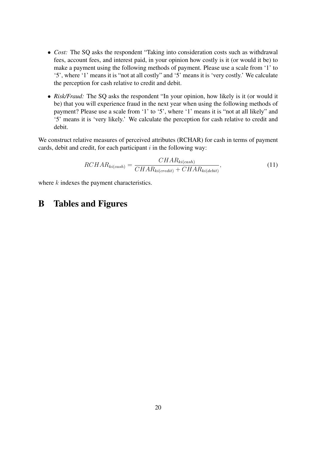- *• Cost:* The SQ asks the respondent "Taking into consideration costs such as withdrawal fees, account fees, and interest paid, in your opinion how costly is it (or would it be) to make a payment using the following methods of payment. Please use a scale from '1' to '5', where '1' means it is "not at all costly" and '5' means it is 'very costly.' We calculate the perception for cash relative to credit and debit.
- *Risk/Fraud:* The SQ asks the respondent "In your opinion, how likely is it (or would it be) that you will experience fraud in the next year when using the following methods of payment? Please use a scale from '1' to '5', where '1' means it is "not at all likely" and '5' means it is 'very likely.' We calculate the perception for cash relative to credit and debit.

We construct relative measures of perceived attributes (RCHAR) for cash in terms of payment cards, debit and credit, for each participant *i* in the following way:

$$
RCHAR_{ki(cash)} = \frac{CHAR_{ki(cash)}}{CHAR_{ki(credit)} + CHAR_{ki(debit)}},\tag{11}
$$

where *k* indexes the payment characteristics.

### B Tables and Figures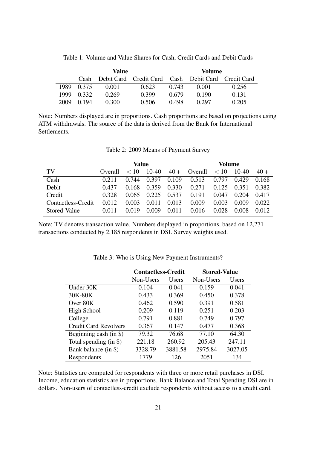|      |       | Value |                                                    |       | Volume |       |
|------|-------|-------|----------------------------------------------------|-------|--------|-------|
|      | Cash  |       | Debit Card Credit Card Cash Debit Card Credit Card |       |        |       |
| 1989 | 0.375 | 0.001 | 0.623                                              | 0.743 | 0.001  | 0.256 |
| 1999 | 0.332 | 0.269 | 0.399                                              | 0.679 | 0.190  | 0.131 |
| 2009 | 0.194 | 0.300 | 0.506                                              | 0.498 | 0.297  | 0.205 |

Table 1: Volume and Value Shares for Cash, Credit Cards and Debit Cards

Note: Numbers displayed are in proportions. Cash proportions are based on projections using ATM withdrawals. The source of the data is derived from the Bank for International Settlements.

| Table 2: 2009 Means of Payment Survey |  |
|---------------------------------------|--|
|---------------------------------------|--|

|                    | Value   |       |         |       |         | Volume |           |       |
|--------------------|---------|-------|---------|-------|---------|--------|-----------|-------|
| TV                 | Overall | < 10  | $10-40$ | $40+$ | Overall | < 10   | $10 - 40$ | $40+$ |
| Cash               | 0.211   | 0.744 | 0.397   | 0.109 | 0.513   | 0.797  | 0.429     | 0.168 |
| Debit              | 0.437   | 0.168 | 0.359   | 0.330 | 0.271   | 0.125  | 0.351     | 0.382 |
| Credit             | 0.328   | 0.065 | 0.225   | 0.537 | 0.191   | 0.047  | 0.204     | 0.417 |
| Contactless-Credit | 0.012   | 0.003 | 0.011   | 0.013 | 0.009   | 0.003  | 0.009     | 0.022 |
| Stored-Value       | 0.011   | 0.019 | 0.009   | 0.011 | 0.016   | 0.028  | 0.008     | 0.012 |

Note: TV denotes transaction value. Numbers displayed in proportions, based on 12,271 transactions conducted by 2,185 respondents in DSI. Survey weights used.

|                              | <b>Contactless-Credit</b> |         | <b>Stored-Value</b> |              |
|------------------------------|---------------------------|---------|---------------------|--------------|
|                              | Non-Users                 | Users   | Non-Users           | <b>Users</b> |
| Under 30K                    | 0.104                     | 0.041   | 0.159               | 0.041        |
| 30K-80K                      | 0.433                     | 0.369   | 0.450               | 0.378        |
| Over 80K                     | 0.462                     | 0.590   | 0.391               | 0.581        |
| High School                  | 0.209                     | 0.119   | 0.251               | 0.203        |
| College                      | 0.791                     | 0.881   | 0.749               | 0.797        |
| <b>Credit Card Revolvers</b> | 0.367                     | 0.147   | 0.477               | 0.368        |
| Beginning cash (in \$)       | 79.32                     | 76.68   | 77.10               | 64.30        |
| Total spending (in \$)       | 221.18                    | 260.92  | 205.43              | 247.11       |
| Bank balance (in \$)         | 3328.79                   | 3881.58 | 2975.84             | 3027.05      |
| Respondents                  | 1779                      | 126     | 2051                | 134          |

Table 3: Who is Using New Payment Instruments?

Note: Statistics are computed for respondents with three or more retail purchases in DSI. Income, education statistics are in proportions. Bank Balance and Total Spending DSI are in dollars. Non-users of contactless-credit exclude respondents without access to a credit card.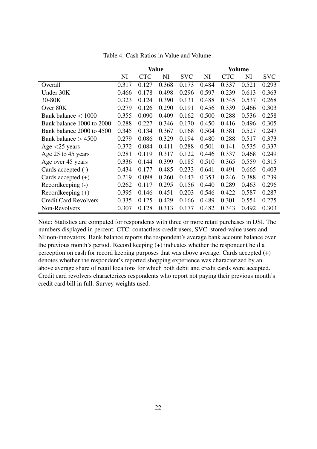|                              | <b>Value</b> |            |       |            | <b>Volume</b> |            |       |            |
|------------------------------|--------------|------------|-------|------------|---------------|------------|-------|------------|
|                              | NI           | <b>CTC</b> | NI    | <b>SVC</b> | NI            | <b>CTC</b> | NI    | <b>SVC</b> |
| Overall                      | 0.317        | 0.127      | 0.368 | 0.173      | 0.484         | 0.337      | 0.521 | 0.293      |
| Under 30K                    | 0.466        | 0.178      | 0.498 | 0.296      | 0.597         | 0.239      | 0.613 | 0.363      |
| 30-80K                       | 0.323        | 0.124      | 0.390 | 0.131      | 0.488         | 0.345      | 0.537 | 0.268      |
| Over 80K                     | 0.279        | 0.126      | 0.290 | 0.191      | 0.456         | 0.339      | 0.466 | 0.303      |
| Bank balance $< 1000$        | 0.355        | 0.090      | 0.409 | 0.162      | 0.500         | 0.288      | 0.536 | 0.258      |
| Bank balance 1000 to 2000    | 0.288        | 0.227      | 0.346 | 0.170      | 0.450         | 0.416      | 0.496 | 0.305      |
| Bank balance 2000 to 4500    | 0.345        | 0.134      | 0.367 | 0.168      | 0.504         | 0.381      | 0.527 | 0.247      |
| Bank balance $> 4500$        | 0.279        | 0.086      | 0.329 | 0.194      | 0.480         | 0.288      | 0.517 | 0.373      |
| Age $<$ 25 years             | 0.372        | 0.084      | 0.411 | 0.288      | 0.501         | 0.141      | 0.535 | 0.337      |
| Age 25 to 45 years           | 0.281        | 0.119      | 0.317 | 0.122      | 0.446         | 0.337      | 0.468 | 0.249      |
| Age over 45 years            | 0.336        | 0.144      | 0.399 | 0.185      | 0.510         | 0.365      | 0.559 | 0.315      |
| Cards accepted (-)           | 0.434        | 0.177      | 0.485 | 0.233      | 0.641         | 0.491      | 0.665 | 0.403      |
| Cards accepted $(+)$         | 0.219        | 0.098      | 0.260 | 0.143      | 0.353         | 0.246      | 0.388 | 0.239      |
| Recordkeeping (-)            | 0.262        | 0.117      | 0.295 | 0.156      | 0.440         | 0.289      | 0.463 | 0.296      |
| Recordkeeping $(+)$          | 0.395        | 0.146      | 0.451 | 0.203      | 0.546         | 0.422      | 0.587 | 0.287      |
| <b>Credit Card Revolvers</b> | 0.335        | 0.125      | 0.429 | 0.166      | 0.489         | 0.301      | 0.554 | 0.275      |
| Non-Revolvers                | 0.307        | 0.128      | 0.313 | 0.177      | 0.482         | 0.343      | 0.492 | 0.303      |

Table 4: Cash Ratios in Value and Volume

Note: Statistics are computed for respondents with three or more retail purchases in DSI. The numbers displayed in percent. CTC: contactless-credit users, SVC: stored-value users and NI:non-innovators. Bank balance reports the respondent's average bank account balance over the previous month's period. Record keeping (+) indicates whether the respondent held a perception on cash for record keeping purposes that was above average. Cards accepted (+) denotes whether the respondent's reported shopping experience was characterized by an above average share of retail locations for which both debit and credit cards were accepted. Credit card revolvers characterizes respondents who report not paying their previous month's credit card bill in full. Survey weights used.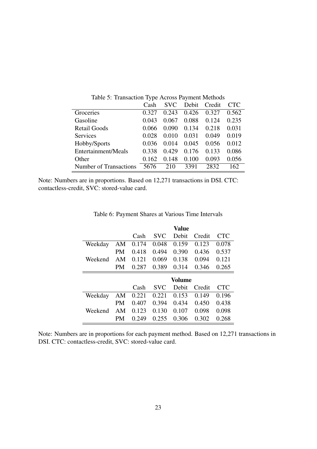|                               | Cash  | <b>SVC</b> | Debit | Credit | CTC.  |
|-------------------------------|-------|------------|-------|--------|-------|
| Groceries                     | 0.327 | 0.243      | 0.426 | 0.327  | 0.562 |
| Gasoline                      | 0.043 | 0.067      | 0.088 | 0.124  | 0.235 |
| <b>Retail Goods</b>           | 0.066 | 0.090      | 0.134 | 0.218  | 0.031 |
| Services                      | 0.028 | 0.010      | 0.031 | 0.049  | 0.019 |
| Hobby/Sports                  | 0.036 | 0.014      | 0.045 | 0.056  | 0.012 |
| Entertainment/Meals           | 0.338 | 0.429      | 0.176 | 0.133  | 0.086 |
| Other                         | 0.162 | 0.148      | 0.100 | 0.093  | 0.056 |
| <b>Number of Transactions</b> | 5676  | 210        | 3391  | 2832   | 162   |

Table 5: Transaction Type Across Payment Methods

Note: Numbers are in proportions. Based on 12,271 transactions in DSI. CTC: contactless-credit, SVC: stored-value card.

|         |    |       |            | Value  |        |            |
|---------|----|-------|------------|--------|--------|------------|
|         |    | Cash  | <b>SVC</b> | Debit  | Credit | <b>CTC</b> |
| Weekday | AΜ | 0.174 | 0.048      | 0.159  | 0.123  | 0.078      |
|         | PM | 0.418 | 0.494      | 0.390  | 0.436  | 0.537      |
| Weekend | AM | 0.121 | 0.069      | 0.138  | 0.094  | 0.121      |
|         | PM | 0.287 | 0.389      | 0.314  | 0.346  | 0.265      |
|         |    |       |            |        |        |            |
|         |    |       |            | Volume |        |            |
|         |    | Cash  | <b>SVC</b> | Debit  | Credit | <b>CTC</b> |
| Weekday | AM | 0.221 | 0.221      | 0.153  | 0.149  | 0.196      |
|         | PM | 0.407 | 0.394      | 0.434  | 0.450  | 0.438      |
| Weekend | AM | 0.123 | 0.130      | 0.107  | 0.098  | 0.098      |

Table 6: Payment Shares at Various Time Intervals

Note: Numbers are in proportions for each payment method. Based on 12,271 transactions in DSI. CTC: contactless-credit, SVC: stored-value card.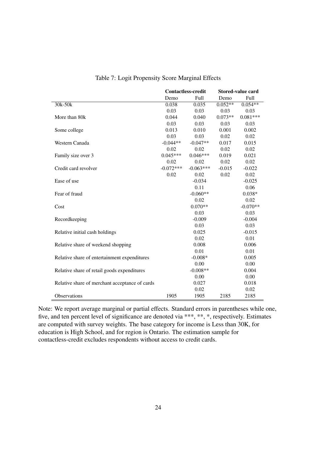|                                                | <b>Contactless-credit</b> |             |           | Stored-value card |  |
|------------------------------------------------|---------------------------|-------------|-----------|-------------------|--|
|                                                | Demo                      | Full        | Demo      | Full              |  |
| $30k-50k$                                      | 0.038                     | 0.035       | $0.052**$ | $0.054**$         |  |
|                                                | 0.03                      | 0.03        | 0.03      | 0.03              |  |
| More than 80k                                  | 0.044                     | 0.040       | $0.073**$ | $0.081***$        |  |
|                                                | 0.03                      | 0.03        | 0.03      | 0.03              |  |
| Some college                                   | 0.013                     | 0.010       | 0.001     | 0.002             |  |
|                                                | 0.03                      | 0.03        | 0.02      | 0.02              |  |
| Western Canada                                 | $-0.044**$                | $-0.047**$  | 0.017     | 0.015             |  |
|                                                | 0.02                      | 0.02        | 0.02      | 0.02              |  |
| Family size over 3                             | $0.045***$                | $0.046***$  | 0.019     | 0.021             |  |
|                                                | 0.02                      | 0.02        | 0.02      | 0.02              |  |
| Credit card revolver                           | $-0.072***$               | $-0.063***$ | $-0.015$  | $-0.022$          |  |
|                                                | 0.02                      | 0.02        | 0.02      | 0.02              |  |
| Ease of use                                    |                           | $-0.034$    |           | $-0.025$          |  |
|                                                |                           | 0.11        |           | 0.06              |  |
| Fear of fraud                                  |                           | $-0.060**$  |           | $0.038*$          |  |
|                                                |                           | 0.02        |           | 0.02              |  |
| Cost                                           |                           | $0.070**$   |           | $-0.070**$        |  |
|                                                |                           | 0.03        |           | 0.03              |  |
| Recordkeeping                                  |                           | $-0.009$    |           | $-0.004$          |  |
|                                                |                           | 0.03        |           | 0.03              |  |
| Relative initial cash holdings                 |                           | 0.025       |           | $-0.015$          |  |
|                                                |                           | 0.02        |           | 0.01              |  |
| Relative share of weekend shopping             |                           | 0.008       |           | 0.006             |  |
|                                                |                           | 0.01        |           | 0.01              |  |
| Relative share of entertainment expenditures   |                           | $-0.008*$   |           | 0.005             |  |
|                                                |                           | 0.00        |           | 0.00              |  |
| Relative share of retail goods expenditures    |                           | $-0.008**$  |           | 0.004             |  |
|                                                |                           | 0.00        |           | 0.00              |  |
| Relative share of merchant acceptance of cards |                           | 0.027       |           | 0.018             |  |
|                                                |                           | 0.02        |           | 0.02              |  |
| Observations                                   | 1905                      | 1905        | 2185      | 2185              |  |

Table 7: Logit Propensity Score Marginal Effects

Note: We report average marginal or partial effects. Standard errors in parentheses while one, five, and ten percent level of significance are denoted via \*\*\*, \*\*, \*, respectively. Estimates are computed with survey weights. The base category for income is Less than 30K, for education is High School, and for region is Ontario. The estimation sample for contactless-credit excludes respondents without access to credit cards.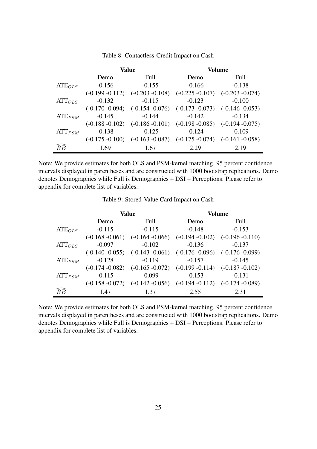|             |                    | <b>Value</b>       |                    | Volume             |
|-------------|--------------------|--------------------|--------------------|--------------------|
|             | Demo               | Full               | Demo               | Full               |
| $ATE_{OLS}$ | $-0.156$           | $-0.155$           | $-0.166$           | $-0.138$           |
|             | $(-0.199 - 0.112)$ | $(-0.203 - 0.108)$ | $(-0.225 - 0.107)$ | $(-0.203 - 0.074)$ |
| $ATT_{OLS}$ | $-0.132$           | $-0.115$           | $-0.123$           | $-0.100$           |
|             | $(-0.170 - 0.094)$ | $(-0.154 - 0.076)$ | $(-0.173 - 0.073)$ | $(-0.146 - 0.053)$ |
| $ATE_{PSM}$ | $-0.145$           | $-0.144$           | $-0.142$           | $-0.134$           |
|             | $(-0.188 - 0.102)$ | $(-0.186 - 0.101)$ | $(-0.198 - 0.085)$ | $(-0.194 - 0.075)$ |
| $ATT_{PSM}$ | $-0.138$           | $-0.125$           | $-0.124$           | $-0.109$           |
|             | $(-0.175 - 0.100)$ | $(-0.163 - 0.087)$ | $(-0.175 - 0.074)$ | $(-0.161 - 0.058)$ |
| RB          | 1.69               | 1.67               | 2.29               | 2.19               |

Table 8: Contactless-Credit Impact on Cash

Note: We provide estimates for both OLS and PSM-kernel matching. 95 percent confidence intervals displayed in parentheses and are constructed with 1000 bootstrap replications. Demo denotes Demographics while Full is Demographics + DSI + Perceptions. Please refer to appendix for complete list of variables.

Table 9: Stored-Value Card Impact on Cash

|             |                    | <b>Value</b>       | <b>Volume</b>      |                    |  |
|-------------|--------------------|--------------------|--------------------|--------------------|--|
|             | Demo               | Full               |                    | Full               |  |
| $ATE_{OLS}$ | $-0.115$           | $-0.115$           | $-0.148$           | $-0.153$           |  |
|             | $(-0.168 - 0.061)$ | $(-0.164 - 0.066)$ | $(-0.194 - 0.102)$ | $(-0.196 - 0.110)$ |  |
| $ATT_{OLS}$ | $-0.097$           | $-0.102$           | $-0.136$           | $-0.137$           |  |
|             | $(-0.140 - 0.055)$ | $(-0.143 - 0.061)$ | $(-0.176 - 0.096)$ | $(-0.176 - 0.099)$ |  |
| $ATE_{PSM}$ | $-0.128$           | $-0.119$           | $-0.157$           | $-0.145$           |  |
|             | $(-0.174 - 0.082)$ | $(-0.165 - 0.072)$ | $(-0.199 - 0.114)$ | $(-0.187 - 0.102)$ |  |
| $ATT_{PSM}$ | $-0.115$           | $-0.099$           | $-0.153$           | $-0.131$           |  |
|             | $(-0.158 - 0.072)$ | $(-0.142 - 0.056)$ | $(-0.194 - 0.112)$ | $(-0.174 - 0.089)$ |  |
| RB          | 1.47               | 1.37               | 2.55               | 2.31               |  |

Note: We provide estimates for both OLS and PSM-kernel matching. 95 percent confidence intervals displayed in parentheses and are constructed with 1000 bootstrap replications. Demo denotes Demographics while Full is Demographics + DSI + Perceptions. Please refer to appendix for complete list of variables.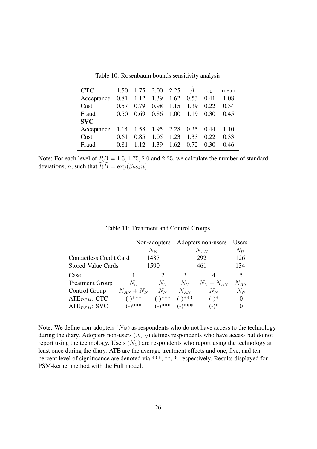| <b>CTC</b>                               | 1.50 | 1.75 2.00 2.25 $\hat{\beta}$ |           |                  |      | $S_k$ | mean |
|------------------------------------------|------|------------------------------|-----------|------------------|------|-------|------|
| Acceptance                               |      | $0.81$ 1.12 1.39 1.62 0.53   |           |                  |      | 0.41  | 1.08 |
| Cost                                     | 0.57 | 0.79                         | 0.98      | 1.15             | 1.39 | 0.22  | 0.34 |
| Fraud                                    | 0.50 | 0.69                         |           | $0.86$ 1.00 1.19 |      | 0.30  | 0.45 |
| <b>SVC</b>                               |      |                              |           |                  |      |       |      |
| Acceptance 1.14 1.58 1.95 2.28 0.35 0.44 |      |                              |           |                  |      |       | 1.10 |
| Cost                                     | 0.61 | 0.85                         | 1.05      | 1.23             | 1.33 | 0.22  | 0.33 |
| Fraud                                    | 0.81 | 1 1 2                        | 1.39 1.62 |                  | 0.72 | 0.30  | 0.46 |

Table 10: Rosenbaum bounds sensitivity analysis

Note: For each level of *RB* = 1*.*5*,* 1*.*75*,* 2*.*0 and 2*.*25, we calculate the number of standard deviations, *n*, such that  $\widehat{R}B = \exp(\beta_k s_k n)$ .

|                                | Non-adopters |               |           | Adopters non-users |          |
|--------------------------------|--------------|---------------|-----------|--------------------|----------|
|                                |              | $N_N$         |           | $N_{AN}$           | $N_U$    |
| <b>Contactless Credit Card</b> |              | 1487          |           | 292                |          |
| <b>Stored-Value Cards</b>      |              | 1590          |           | 461                | 134      |
| Case                           |              | $\mathcal{D}$ | 3         |                    | 5        |
| <b>Treatment Group</b>         | $N_U$        | $N_U$         | $N_U$     | $N_U + N_{AN}$     | $N_{AN}$ |
| Control Group                  | $N_{AN}+N_N$ | $N_N$         | $N_{AN}$  | $N_N$              | $N_N$    |
| $ATE_{PSM}$ : CTC              | $(-)$ ***    | $(-)^{***}$   | $(-)$ *** | $(-)^*$            | $\theta$ |
| $ATE_{PSM}$ : SVC              | $(-)$ ***    | $(-)$ ***     | (-)***    | (−)*               | $\theta$ |

Table 11: Treatment and Control Groups

Note: We define non-adopters  $(N_N)$  as respondents who do not have access to the technology during the diary. Adopters non-users ( $N_{AN}$ ) defines respondents who have access but do not report using the technology. Users  $(N_U)$  are respondents who report using the technology at least once during the diary. ATE are the average treatment effects and one, five, and ten percent level of significance are denoted via \*\*\*, \*\*, \*, respectively. Results displayed for PSM-kernel method with the Full model.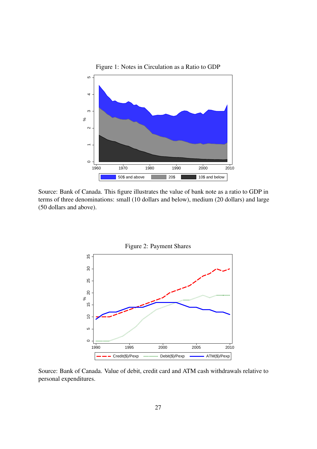

Source: Bank of Canada. This figure illustrates the value of bank note as a ratio to GDP in terms of three denominations: small (10 dollars and below), medium (20 dollars) and large (50 dollars and above).



Source: Bank of Canada. Value of debit, credit card and ATM cash withdrawals relative to personal expenditures.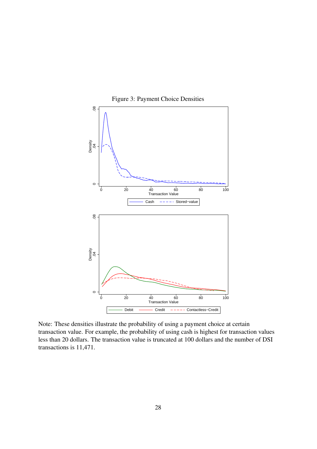

Figure 3: Payment Choice Densities

Note: These densities illustrate the probability of using a payment choice at certain transaction value. For example, the probability of using cash is highest for transaction values less than 20 dollars. The transaction value is truncated at 100 dollars and the number of DSI transactions is 11,471.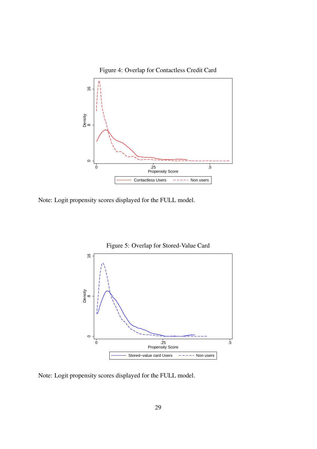

Note: Logit propensity scores displayed for the FULL model.



Note: Logit propensity scores displayed for the FULL model.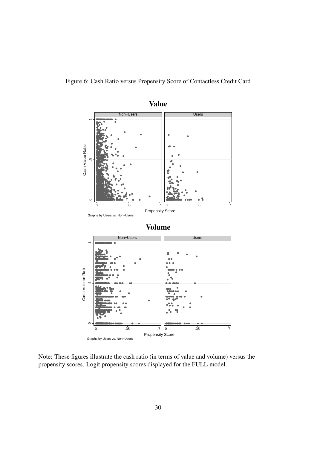Figure 6: Cash Ratio versus Propensity Score of Contactless Credit Card



Note: These figures illustrate the cash ratio (in terms of value and volume) versus the propensity scores. Logit propensity scores displayed for the FULL model.